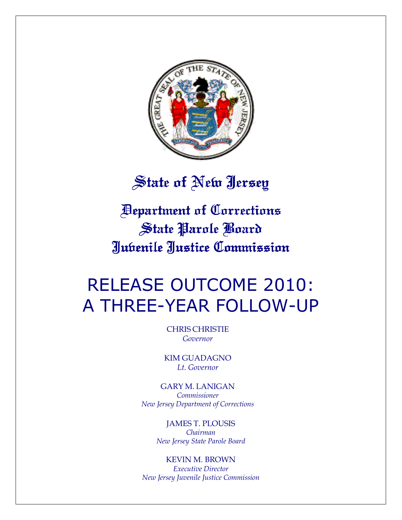

## State of New Jersey

Department of Corrections Department Corrections State Parole Board Juvenile Justice Commission Justice Commission

# RELEASE OUTCOME 2010: A THREE-YEAR FOLLOW-UP

CHRIS CHRISTIE Governor

KIM GUADAGNO Lt. Governor

GARY M. LANIGAN Commissioner New Jersey Department of Corrections

> JAMES T. PLOUSIS Chairman New Jersey State Parole Board

KEVIN M. BROWN Executive Director New Jersey Juvenile Justice Commission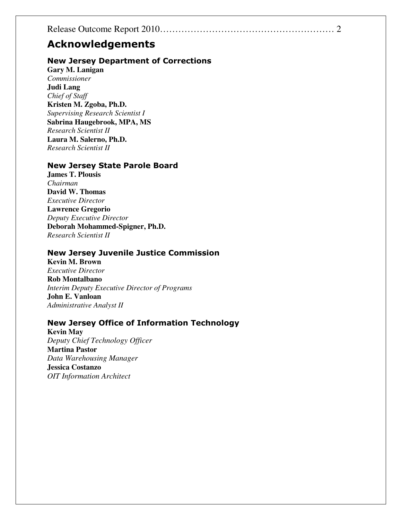## Acknowledgements

## New Jersey Department of Corrections

**Gary M. Lanigan**  *Commissioner*  **Judi Lang**  *Chief of Staff*  **Kristen M. Zgoba, Ph.D.**  *Supervising Research Scientist I*  **Sabrina Haugebrook, MPA, MS**  *Research Scientist II*  **Laura M. Salerno, Ph.D.**  *Research Scientist II* 

## New Jersey State Parole Board

**James T. Plousis**  *Chairman*  **David W. Thomas**  *Executive Director*  **Lawrence Gregorio**  *Deputy Executive Director*  **Deborah Mohammed-Spigner, Ph.D.**  *Research Scientist II* 

## New Jersey Juvenile Justice Commission

**Kevin M. Brown**  *Executive Director*  **Rob Montalbano**  *Interim Deputy Executive Director of Programs*  **John E. Vanloan**  *Administrative Analyst II* 

## New Jersey Office of Information Technology

**Kevin May**  *Deputy Chief Technology Officer* **Martina Pastor**  *Data Warehousing Manager* **Jessica Costanzo**  *OIT Information Architect*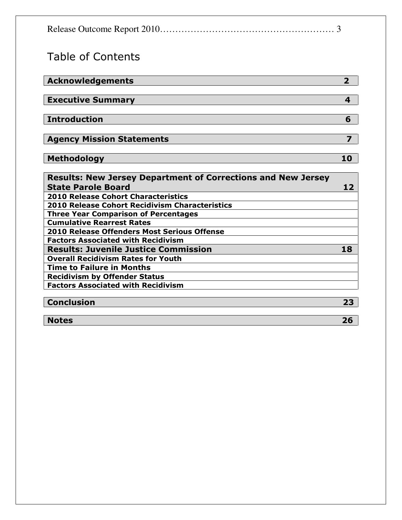|--|--|

## Table of Contents

| <b>Acknowledgements</b>          |   |
|----------------------------------|---|
| <b>Executive Summary</b>         |   |
|                                  |   |
| <b>Introduction</b>              | Ь |
| <b>Agency Mission Statements</b> |   |
| Methodology                      |   |

| <b>Results: New Jersey Department of Corrections and New Jersey</b> |  |
|---------------------------------------------------------------------|--|
| <b>State Parole Board</b>                                           |  |
| <b>2010 Release Cohort Characteristics</b>                          |  |
| <b>2010 Release Cohort Recidivism Characteristics</b>               |  |
| <b>Three Year Comparison of Percentages</b>                         |  |
| <b>Cumulative Rearrest Rates</b>                                    |  |
| 2010 Release Offenders Most Serious Offense                         |  |
| <b>Factors Associated with Recidivism</b>                           |  |
| <b>Results: Juvenile Justice Commission</b>                         |  |
| <b>Overall Recidivism Rates for Youth</b>                           |  |
| <b>Time to Failure in Months</b>                                    |  |
| <b>Recidivism by Offender Status</b>                                |  |
| <b>Factors Associated with Recidivism</b>                           |  |
|                                                                     |  |

## Conclusion 23

Notes 26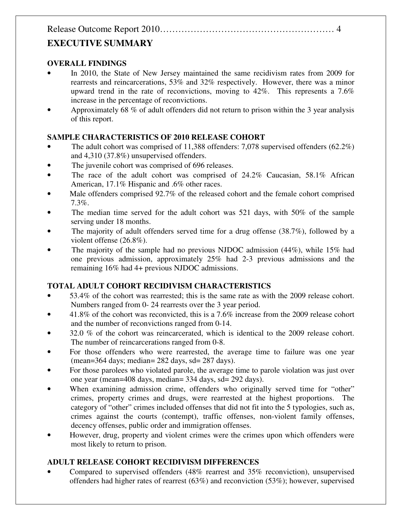## **EXECUTIVE SUMMARY**

## **OVERALL FINDINGS**

- In 2010, the State of New Jersey maintained the same recidivism rates from 2009 for rearrests and reincarcerations, 53% and 32% respectively. However, there was a minor upward trend in the rate of reconvictions, moving to  $42\%$ . This represents a 7.6% increase in the percentage of reconvictions.
- Approximately 68 % of adult offenders did not return to prison within the 3 year analysis of this report.

## **SAMPLE CHARACTERISTICS OF 2010 RELEASE COHORT**

- The adult cohort was comprised of 11,388 offenders: 7,078 supervised offenders  $(62.2\%)$ and 4,310 (37.8%) unsupervised offenders.
- The juvenile cohort was comprised of 696 releases.
- The race of the adult cohort was comprised of 24.2% Caucasian, 58.1% African American, 17.1% Hispanic and .6% other races.
- Male offenders comprised 92.7% of the released cohort and the female cohort comprised 7.3%.
- The median time served for the adult cohort was 521 days, with 50% of the sample serving under 18 months.
- The majority of adult offenders served time for a drug offense (38.7%), followed by a violent offense (26.8%).
- The majority of the sample had no previous NJDOC admission (44%), while 15% had one previous admission, approximately 25% had 2-3 previous admissions and the remaining 16% had 4+ previous NJDOC admissions.

## **TOTAL ADULT COHORT RECIDIVISM CHARACTERISTICS**

- 53.4% of the cohort was rearrested; this is the same rate as with the 2009 release cohort. Numbers ranged from 0- 24 rearrests over the 3 year period.
- 41.8% of the cohort was reconvicted, this is a 7.6% increase from the 2009 release cohort and the number of reconvictions ranged from 0-14.
- 32.0 % of the cohort was reincarcerated, which is identical to the 2009 release cohort. The number of reincarcerations ranged from 0-8.
- For those offenders who were rearrested, the average time to failure was one year (mean=364 days; median= 282 days, sd= 287 days).
- For those parolees who violated parole, the average time to parole violation was just over one year (mean=408 days, median= 334 days, sd= 292 days).
- When examining admission crime, offenders who originally served time for "other" crimes, property crimes and drugs, were rearrested at the highest proportions. The category of "other" crimes included offenses that did not fit into the 5 typologies, such as, crimes against the courts (contempt), traffic offenses, non-violent family offenses, decency offenses, public order and immigration offenses.
- However, drug, property and violent crimes were the crimes upon which offenders were most likely to return to prison.

## **ADULT RELEASE COHORT RECIDIVISM DIFFERENCES**

• Compared to supervised offenders (48% rearrest and 35% reconviction), unsupervised offenders had higher rates of rearrest (63%) and reconviction (53%); however, supervised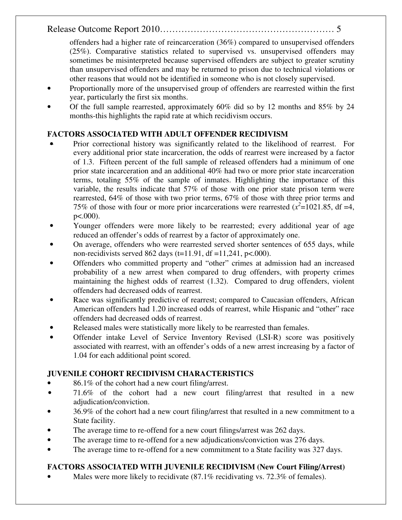offenders had a higher rate of reincarceration (36%) compared to unsupervised offenders (25%). Comparative statistics related to supervised vs. unsupervised offenders may sometimes be misinterpreted because supervised offenders are subject to greater scrutiny than unsupervised offenders and may be returned to prison due to technical violations or other reasons that would not be identified in someone who is not closely supervised.

- Proportionally more of the unsupervised group of offenders are rearrested within the first year, particularly the first six months.
- Of the full sample rearrested, approximately  $60\%$  did so by 12 months and  $85\%$  by 24 months-this highlights the rapid rate at which recidivism occurs.

## **FACTORS ASSOCIATED WITH ADULT OFFENDER RECIDIVISM**

- Prior correctional history was significantly related to the likelihood of rearrest. For every additional prior state incarceration, the odds of rearrest were increased by a factor of 1.3. Fifteen percent of the full sample of released offenders had a minimum of one prior state incarceration and an additional 40% had two or more prior state incarceration terms, totaling 55% of the sample of inmates. Highlighting the importance of this variable, the results indicate that 57% of those with one prior state prison term were rearrested, 64% of those with two prior terms, 67% of those with three prior terms and 75% of those with four or more prior incarcerations were rearrested  $(x^2=1021.85, df = 4,$ p<.000).
- Younger offenders were more likely to be rearrested; every additional year of age reduced an offender's odds of rearrest by a factor of approximately one.
- On average, offenders who were rearrested served shorter sentences of 655 days, while non-recidivists served 862 days  $(t=11.91, df=11.241, p<.000)$ .
- Offenders who committed property and "other" crimes at admission had an increased probability of a new arrest when compared to drug offenders, with property crimes maintaining the highest odds of rearrest (1.32). Compared to drug offenders, violent offenders had decreased odds of rearrest.
- Race was significantly predictive of rearrest; compared to Caucasian offenders, African American offenders had 1.20 increased odds of rearrest, while Hispanic and "other" race offenders had decreased odds of rearrest.
- Released males were statistically more likely to be rearrested than females.
- Offender intake Level of Service Inventory Revised (LSI-R) score was positively associated with rearrest, with an offender's odds of a new arrest increasing by a factor of 1.04 for each additional point scored.

## **JUVENILE COHORT RECIDIVISM CHARACTERISTICS**

- 86.1% of the cohort had a new court filing/arrest.
- 71.6% of the cohort had a new court filing/arrest that resulted in a new adjudication/conviction.
- 36.9% of the cohort had a new court filing/arrest that resulted in a new commitment to a State facility.
- The average time to re-offend for a new court filings/arrest was 262 days.
- The average time to re-offend for a new adjudications/conviction was 276 days.
- The average time to re-offend for a new commitment to a State facility was 327 days.

## **FACTORS ASSOCIATED WITH JUVENILE RECIDIVISM (New Court Filing/Arrest)**

Males were more likely to recidivate (87.1% recidivating vs. 72.3% of females).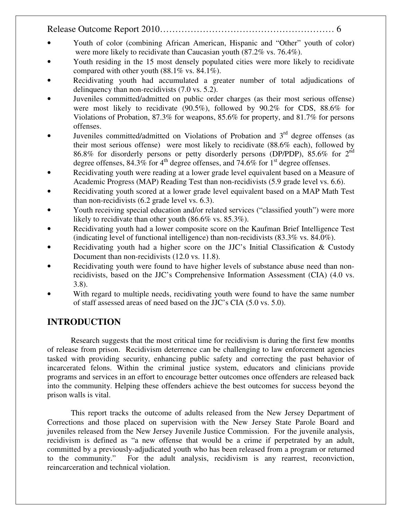- Youth of color (combining African American, Hispanic and "Other" youth of color) were more likely to recidivate than Caucasian youth (87.2% vs. 76.4%).
- Youth residing in the 15 most densely populated cities were more likely to recidivate compared with other youth  $(88.1\% \text{ vs. } 84.1\%).$
- Recidivating youth had accumulated a greater number of total adjudications of delinquency than non-recidivists (7.0 vs. 5.2).
- Juveniles committed/admitted on public order charges (as their most serious offense) were most likely to recidivate (90.5%), followed by 90.2% for CDS, 88.6% for Violations of Probation, 87.3% for weapons, 85.6% for property, and 81.7% for persons offenses.
- Juveniles committed/admitted on Violations of Probation and 3<sup>rd</sup> degree offenses (as their most serious offense) were most likely to recidivate (88.6% each), followed by 86.8% for disorderly persons or petty disorderly persons (DP/PDP), 85.6% for 2nd degree offenses,  $84.3\%$  for  $4^{\text{th}}$  degree offenses, and  $74.6\%$  for  $1^{\text{st}}$  degree offenses.
- Recidivating youth were reading at a lower grade level equivalent based on a Measure of Academic Progress (MAP) Reading Test than non-recidivists (5.9 grade level vs. 6.6).
- Recidivating youth scored at a lower grade level equivalent based on a MAP Math Test than non-recidivists (6.2 grade level vs. 6.3).
- Youth receiving special education and/or related services ("classified youth") were more likely to recidivate than other youth (86.6% vs. 85.3%).
- Recidivating youth had a lower composite score on the Kaufman Brief Intelligence Test (indicating level of functional intelligence) than non-recidivists (83.3% vs. 84.0%).
- Recidivating youth had a higher score on the JJC's Initial Classification  $\&$  Custody Document than non-recidivists (12.0 vs. 11.8).
- Recidivating youth were found to have higher levels of substance abuse need than nonrecidivists, based on the JJC's Comprehensive Information Assessment (CIA) (4.0 vs. 3.8).
- With regard to multiple needs, recidivating youth were found to have the same number of staff assessed areas of need based on the JJC's CIA (5.0 vs. 5.0).

## **INTRODUCTION**

Research suggests that the most critical time for recidivism is during the first few months of release from prison. Recidivism deterrence can be challenging to law enforcement agencies tasked with providing security, enhancing public safety and correcting the past behavior of incarcerated felons. Within the criminal justice system, educators and clinicians provide programs and services in an effort to encourage better outcomes once offenders are released back into the community. Helping these offenders achieve the best outcomes for success beyond the prison walls is vital.

This report tracks the outcome of adults released from the New Jersey Department of Corrections and those placed on supervision with the New Jersey State Parole Board and juveniles released from the New Jersey Juvenile Justice Commission. For the juvenile analysis, recidivism is defined as "a new offense that would be a crime if perpetrated by an adult, committed by a previously-adjudicated youth who has been released from a program or returned to the community." For the adult analysis, recidivism is any rearrest, reconviction, reincarceration and technical violation.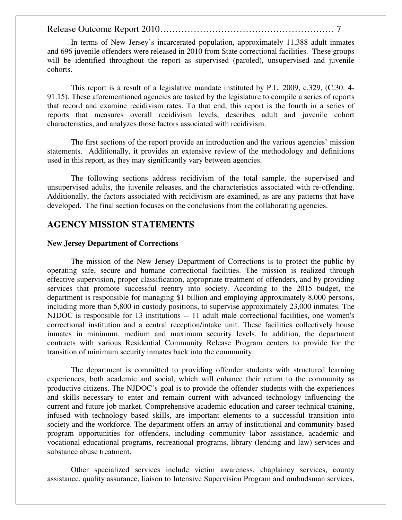In terms of New Jersey's incarcerated population, approximately 11,388 adult inmates and 696 juvenile offenders were released in 2010 from State correctional facilities. These groups will be identified throughout the report as supervised (paroled), unsupervised and juvenile cohorts.

This report is a result of a legislative mandate instituted by P.L. 2009, c.329, (C.30: 4- 91.15). These aforementioned agencies are tasked by the legislature to compile a series of reports that record and examine recidivism rates. To that end, this report is the fourth in a series of reports that measures overall recidivism levels, describes adult and juvenile cohort characteristics, and analyzes those factors associated with recidivism.

The first sections of the report provide an introduction and the various agencies' mission statements. Additionally, it provides an extensive review of the methodology and definitions used in this report, as they may significantly vary between agencies.

The following sections address recidivism of the total sample, the supervised and unsupervised adults, the juvenile releases, and the characteristics associated with re-offending. Additionally, the factors associated with recidivism are examined, as are any patterns that have developed. The final section focuses on the conclusions from the collaborating agencies.

## **AGENCY MISSION STATEMENTS**

#### **New Jersey Department of Corrections**

 The mission of the New Jersey Department of Corrections is to protect the public by operating safe, secure and humane correctional facilities. The mission is realized through effective supervision, proper classification, appropriate treatment of offenders, and by providing services that promote successful reentry into society. According to the 2015 budget, the department is responsible for managing \$1 billion and employing approximately 8,000 persons, including more than 5,800 in custody positions, to supervise approximately 23,000 inmates. The NJDOC is responsible for 13 institutions -- 11 adult male correctional facilities, one women's correctional institution and a central reception/intake unit. These facilities collectively house inmates in minimum, medium and maximum security levels. In addition, the department contracts with various Residential Community Release Program centers to provide for the transition of minimum security inmates back into the community.

 The department is committed to providing offender students with structured learning experiences, both academic and social, which will enhance their return to the community as productive citizens. The NJDOC's goal is to provide the offender students with the experiences and skills necessary to enter and remain current with advanced technology influencing the current and future job market. Comprehensive academic education and career technical training, infused with technology based skills, are important elements to a successful transition into society and the workforce. The department offers an array of institutional and community-based program opportunities for offenders, including community labor assistance, academic and vocational educational programs, recreational programs, library (lending and law) services and substance abuse treatment.

 Other specialized services include victim awareness, chaplaincy services, county assistance, quality assurance, liaison to Intensive Supervision Program and ombudsman services,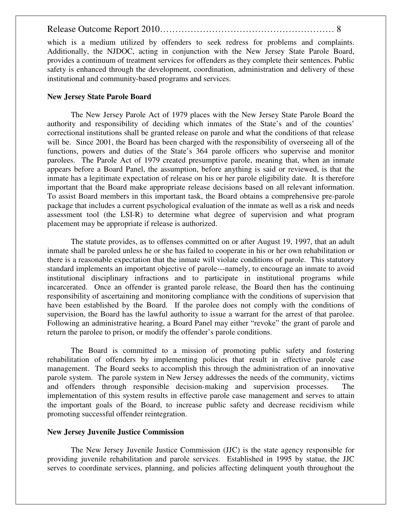which is a medium utilized by offenders to seek redress for problems and complaints. Additionally, the NJDOC, acting in conjunction with the New Jersey State Parole Board, provides a continuum of treatment services for offenders as they complete their sentences. Public safety is enhanced through the development, coordination, administration and delivery of these institutional and community-based programs and services.

#### **New Jersey State Parole Board**

The New Jersey Parole Act of 1979 places with the New Jersey State Parole Board the authority and responsibility of deciding which inmates of the State's and of the counties' correctional institutions shall be granted release on parole and what the conditions of that release will be. Since 2001, the Board has been charged with the responsibility of overseeing all of the functions, powers and duties of the State's 364 parole officers who supervise and monitor parolees. The Parole Act of 1979 created presumptive parole, meaning that, when an inmate appears before a Board Panel, the assumption, before anything is said or reviewed, is that the inmate has a legitimate expectation of release on his or her parole eligibility date. It is therefore important that the Board make appropriate release decisions based on all relevant information. To assist Board members in this important task, the Board obtains a comprehensive pre-parole package that includes a current psychological evaluation of the inmate as well as a risk and needs assessment tool (the LSI-R) to determine what degree of supervision and what program placement may be appropriate if release is authorized.

The statute provides, as to offenses committed on or after August 19, 1997, that an adult inmate shall be paroled unless he or she has failed to cooperate in his or her own rehabilitation or there is a reasonable expectation that the inmate will violate conditions of parole. This statutory standard implements an important objective of parole---namely, to encourage an inmate to avoid institutional disciplinary infractions and to participate in institutional programs while incarcerated. Once an offender is granted parole release, the Board then has the continuing responsibility of ascertaining and monitoring compliance with the conditions of supervision that have been established by the Board. If the parolee does not comply with the conditions of supervision, the Board has the lawful authority to issue a warrant for the arrest of that parolee. Following an administrative hearing, a Board Panel may either "revoke" the grant of parole and return the parolee to prison, or modify the offender's parole conditions.

The Board is committed to a mission of promoting public safety and fostering rehabilitation of offenders by implementing policies that result in effective parole case management. The Board seeks to accomplish this through the administration of an innovative parole system. The parole system in New Jersey addresses the needs of the community, victims and offenders through responsible decision-making and supervision processes. The implementation of this system results in effective parole case management and serves to attain the important goals of the Board, to increase public safety and decrease recidivism while promoting successful offender reintegration.

#### **New Jersey Juvenile Justice Commission**

 The New Jersey Juvenile Justice Commission (JJC) is the state agency responsible for providing juvenile rehabilitation and parole services. Established in 1995 by statue, the JJC serves to coordinate services, planning, and policies affecting delinquent youth throughout the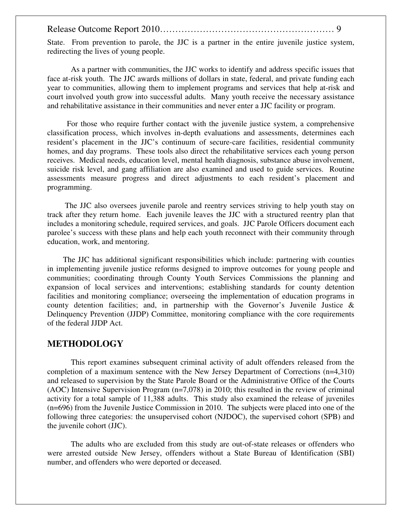State. From prevention to parole, the JJC is a partner in the entire juvenile justice system, redirecting the lives of young people.

 As a partner with communities, the JJC works to identify and address specific issues that face at-risk youth. The JJC awards millions of dollars in state, federal, and private funding each year to communities, allowing them to implement programs and services that help at-risk and court involved youth grow into successful adults. Many youth receive the necessary assistance and rehabilitative assistance in their communities and never enter a JJC facility or program.

 For those who require further contact with the juvenile justice system, a comprehensive classification process, which involves in-depth evaluations and assessments, determines each resident's placement in the JJC's continuum of secure-care facilities, residential community homes, and day programs. These tools also direct the rehabilitative services each young person receives. Medical needs, education level, mental health diagnosis, substance abuse involvement, suicide risk level, and gang affiliation are also examined and used to guide services. Routine assessments measure progress and direct adjustments to each resident's placement and programming.

 The JJC also oversees juvenile parole and reentry services striving to help youth stay on track after they return home. Each juvenile leaves the JJC with a structured reentry plan that includes a monitoring schedule, required services, and goals. JJC Parole Officers document each parolee's success with these plans and help each youth reconnect with their community through education, work, and mentoring.

 The JJC has additional significant responsibilities which include: partnering with counties in implementing juvenile justice reforms designed to improve outcomes for young people and communities; coordinating through County Youth Services Commissions the planning and expansion of local services and interventions; establishing standards for county detention facilities and monitoring compliance; overseeing the implementation of education programs in county detention facilities; and, in partnership with the Governor's Juvenile Justice & Delinquency Prevention (JJDP) Committee, monitoring compliance with the core requirements of the federal JJDP Act.

### **METHODOLOGY**

This report examines subsequent criminal activity of adult offenders released from the completion of a maximum sentence with the New Jersey Department of Corrections (n=4,310) and released to supervision by the State Parole Board or the Administrative Office of the Courts (AOC) Intensive Supervision Program (n=7,078) in 2010; this resulted in the review of criminal activity for a total sample of 11,388 adults. This study also examined the release of juveniles (n=696) from the Juvenile Justice Commission in 2010. The subjects were placed into one of the following three categories: the unsupervised cohort (NJDOC), the supervised cohort (SPB) and the juvenile cohort (JJC).

The adults who are excluded from this study are out-of-state releases or offenders who were arrested outside New Jersey, offenders without a State Bureau of Identification (SBI) number, and offenders who were deported or deceased.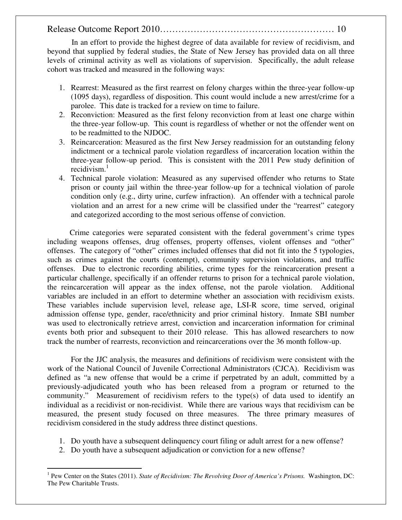In an effort to provide the highest degree of data available for review of recidivism, and beyond that supplied by federal studies, the State of New Jersey has provided data on all three levels of criminal activity as well as violations of supervision. Specifically, the adult release cohort was tracked and measured in the following ways:

- 1. Rearrest: Measured as the first rearrest on felony charges within the three-year follow-up (1095 days), regardless of disposition. This count would include a new arrest/crime for a parolee. This date is tracked for a review on time to failure.
- 2. Reconviction: Measured as the first felony reconviction from at least one charge within the three-year follow-up. This count is regardless of whether or not the offender went on to be readmitted to the NJDOC.
- 3. Reincarceration: Measured as the first New Jersey readmission for an outstanding felony indictment or a technical parole violation regardless of incarceration location within the three-year follow-up period. This is consistent with the 2011 Pew study definition of recidivism. $<sup>1</sup>$ </sup>
- 4. Technical parole violation: Measured as any supervised offender who returns to State prison or county jail within the three-year follow-up for a technical violation of parole condition only (e.g., dirty urine, curfew infraction). An offender with a technical parole violation and an arrest for a new crime will be classified under the "rearrest" category and categorized according to the most serious offense of conviction.

Crime categories were separated consistent with the federal government's crime types including weapons offenses, drug offenses, property offenses, violent offenses and "other" offenses. The category of "other" crimes included offenses that did not fit into the 5 typologies, such as crimes against the courts (contempt), community supervision violations, and traffic offenses. Due to electronic recording abilities, crime types for the reincarceration present a particular challenge, specifically if an offender returns to prison for a technical parole violation, the reincarceration will appear as the index offense, not the parole violation. Additional variables are included in an effort to determine whether an association with recidivism exists. These variables include supervision level, release age, LSI-R score, time served, original admission offense type, gender, race/ethnicity and prior criminal history. Inmate SBI number was used to electronically retrieve arrest, conviction and incarceration information for criminal events both prior and subsequent to their 2010 release. This has allowed researchers to now track the number of rearrests, reconviction and reincarcerations over the 36 month follow-up.

For the JJC analysis, the measures and definitions of recidivism were consistent with the work of the National Council of Juvenile Correctional Administrators (CJCA). Recidivism was defined as "a new offense that would be a crime if perpetrated by an adult, committed by a previously-adjudicated youth who has been released from a program or returned to the community." Measurement of recidivism refers to the type(s) of data used to identify an individual as a recidivist or non-recidivist. While there are various ways that recidivism can be measured, the present study focused on three measures. The three primary measures of recidivism considered in the study address three distinct questions.

- 1. Do youth have a subsequent delinquency court filing or adult arrest for a new offense?
- 2. Do youth have a subsequent adjudication or conviction for a new offense?

 $\overline{a}$ <sup>1</sup> Pew Center on the States (2011). *State of Recidivism: The Revolving Door of America's Prisons.* Washington, DC: The Pew Charitable Trusts.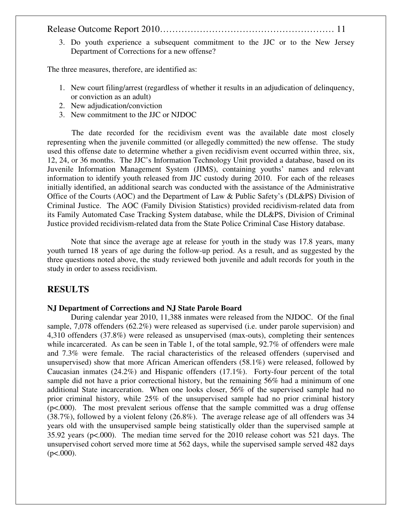3. Do youth experience a subsequent commitment to the JJC or to the New Jersey Department of Corrections for a new offense?

The three measures, therefore, are identified as:

- 1. New court filing/arrest (regardless of whether it results in an adjudication of delinquency, or conviction as an adult)
- 2. New adjudication/conviction
- 3. New commitment to the JJC or NJDOC

The date recorded for the recidivism event was the available date most closely representing when the juvenile committed (or allegedly committed) the new offense. The study used this offense date to determine whether a given recidivism event occurred within three, six, 12, 24, or 36 months. The JJC's Information Technology Unit provided a database, based on its Juvenile Information Management System (JIMS), containing youths' names and relevant information to identify youth released from JJC custody during 2010. For each of the releases initially identified, an additional search was conducted with the assistance of the Administrative Office of the Courts (AOC) and the Department of Law & Public Safety's (DL&PS) Division of Criminal Justice. The AOC (Family Division Statistics) provided recidivism-related data from its Family Automated Case Tracking System database, while the DL&PS, Division of Criminal Justice provided recidivism-related data from the State Police Criminal Case History database.

Note that since the average age at release for youth in the study was 17.8 years, many youth turned 18 years of age during the follow-up period. As a result, and as suggested by the three questions noted above, the study reviewed both juvenile and adult records for youth in the study in order to assess recidivism.

#### **RESULTS**

#### **NJ Department of Corrections and NJ State Parole Board**

During calendar year 2010, 11,388 inmates were released from the NJDOC. Of the final sample, 7,078 offenders (62.2%) were released as supervised (i.e. under parole supervision) and 4,310 offenders (37.8%) were released as unsupervised (max-outs), completing their sentences while incarcerated. As can be seen in Table 1, of the total sample, 92.7% of offenders were male and 7.3% were female. The racial characteristics of the released offenders (supervised and unsupervised) show that more African American offenders (58.1%) were released, followed by Caucasian inmates (24.2%) and Hispanic offenders (17.1%). Forty-four percent of the total sample did not have a prior correctional history, but the remaining 56% had a minimum of one additional State incarceration. When one looks closer, 56% of the supervised sample had no prior criminal history, while 25% of the unsupervised sample had no prior criminal history (p<.000). The most prevalent serious offense that the sample committed was a drug offense (38.7%), followed by a violent felony (26.8%). The average release age of all offenders was 34 years old with the unsupervised sample being statistically older than the supervised sample at 35.92 years (p<.000). The median time served for the 2010 release cohort was 521 days. The unsupervised cohort served more time at 562 days, while the supervised sample served 482 days  $(p<.000)$ .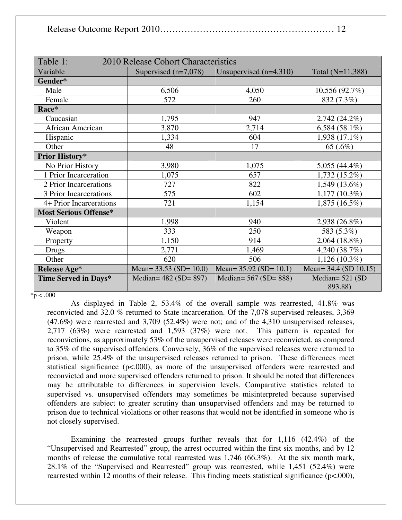| Table 1:                     |                                     |                          |                       |
|------------------------------|-------------------------------------|--------------------------|-----------------------|
|                              | 2010 Release Cohort Characteristics |                          |                       |
| Variable                     | Supervised $(n=7,078)$              | Unsupervised $(n=4,310)$ | Total (N=11,388)      |
| Gender*                      |                                     |                          |                       |
| Male                         | 6,506                               | 4,050                    | 10,556 (92.7%)        |
| Female                       | 572                                 | 260                      | 832 (7.3%)            |
| Race*                        |                                     |                          |                       |
| Caucasian                    | 1,795                               | 947                      | $2,742(24.2\%)$       |
| African American             | 3,870                               | 2,714                    | 6,584 (58.1%)         |
| Hispanic                     | 1,334                               | 604                      | 1,938 (17.1%)         |
| Other                        | 48                                  | 17                       | 65 (.6%)              |
| Prior History*               |                                     |                          |                       |
| No Prior History             | 3,980                               | 1,075                    | 5,055 $(44.4\%)$      |
| 1 Prior Incarceration        | 1,075                               | 657                      | 1,732 (15.2%)         |
| 2 Prior Incarcerations       | 727                                 | 822                      | 1,549 (13.6%)         |
| 3 Prior Incarcerations       | 575                                 | 602                      | $1,177(10.3\%)$       |
| 4+ Prior Incarcerations      | 721                                 | 1,154                    | 1,875 (16.5%)         |
| <b>Most Serious Offense*</b> |                                     |                          |                       |
| Violent                      | 1,998                               | 940                      | 2,938 (26.8%)         |
| Weapon                       | 333                                 | 250                      | 583 (5.3%)            |
| Property                     | 1,150                               | 914                      | $2,064(18.8\%)$       |
| Drugs                        | 2,771                               | 1,469                    | 4,240 (38.7%)         |
| Other                        | 620                                 | 506                      | $1,126(10.3\%)$       |
| <b>Release Age*</b>          | Mean= $33.53$ (SD= 10.0)            | Mean= $35.92$ (SD= 10.1) | Mean= 34.4 (SD 10.15) |
| Time Served in Days*         | Median= $482$ (SD= $897$ )          | Median= $567$ (SD= 888)  | Median= $521$ (SD     |
|                              |                                     |                          | 893.88)               |

 $*p < .000$ 

As displayed in Table 2, 53.4% of the overall sample was rearrested, 41.8% was reconvicted and 32.0 % returned to State incarceration. Of the 7,078 supervised releases, 3,369 (47.6%) were rearrested and 3,709 (52.4%) were not; and of the 4,310 unsupervised releases, 2,717 (63%) were rearrested and 1,593 (37%) were not. This pattern is repeated for reconvictions, as approximately 53% of the unsupervised releases were reconvicted, as compared to 35% of the supervised offenders. Conversely, 36% of the supervised releases were returned to prison, while 25.4% of the unsupervised releases returned to prison. These differences meet statistical significance (p<.000), as more of the unsupervised offenders were rearrested and reconvicted and more supervised offenders returned to prison. It should be noted that differences may be attributable to differences in supervision levels. Comparative statistics related to supervised vs. unsupervised offenders may sometimes be misinterpreted because supervised offenders are subject to greater scrutiny than unsupervised offenders and may be returned to prison due to technical violations or other reasons that would not be identified in someone who is not closely supervised.

Examining the rearrested groups further reveals that for 1,116 (42.4%) of the "Unsupervised and Rearrested" group, the arrest occurred within the first six months, and by 12 months of release the cumulative total rearrested was 1,746 (66.3%). At the six month mark, 28.1% of the "Supervised and Rearrested" group was rearrested, while 1,451 (52.4%) were rearrested within 12 months of their release. This finding meets statistical significance (p<.000),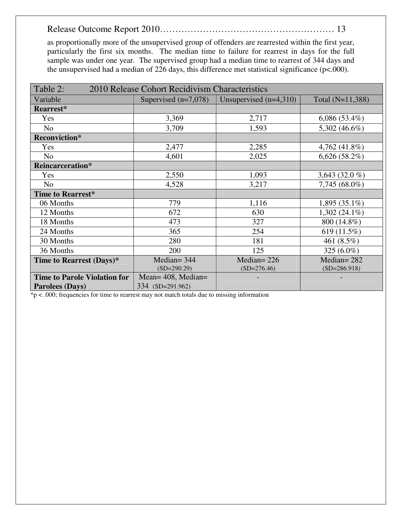as proportionally more of the unsupervised group of offenders are rearrested within the first year, particularly the first six months. The median time to failure for rearrest in days for the full sample was under one year. The supervised group had a median time to rearrest of 344 days and the unsupervised had a median of 226 days, this difference met statistical significance ( $p<.000$ ).

| Table 2:<br>2010 Release Cohort Recidivism Characteristics |                        |                          |                  |  |
|------------------------------------------------------------|------------------------|--------------------------|------------------|--|
| Variable                                                   | Supervised $(n=7,078)$ | Unsupervised $(n=4,310)$ | Total (N=11,388) |  |
| Rearrest*                                                  |                        |                          |                  |  |
| Yes                                                        | 3,369                  | 2,717                    | $6,086(53.4\%)$  |  |
| N <sub>o</sub>                                             | 3,709                  | 1,593                    | 5,302 (46.6%)    |  |
| <b>Reconviction*</b>                                       |                        |                          |                  |  |
| Yes                                                        | 2,477                  | 2,285                    | 4,762 (41.8%)    |  |
| N <sub>o</sub>                                             | 4,601                  | 2,025                    | $6,626(58.2\%)$  |  |
| Reincarceration*                                           |                        |                          |                  |  |
| Yes                                                        | 2,550                  | 1,093                    | 3,643 (32.0 %)   |  |
| N <sub>o</sub>                                             | 4,528                  | 3,217                    | 7,745 (68.0%)    |  |
| Time to Rearrest*                                          |                        |                          |                  |  |
| 06 Months                                                  | 779                    | 1,116                    | $1,895(35.1\%)$  |  |
| 12 Months                                                  | 672                    | 630                      | $1,302(24.1\%)$  |  |
| 18 Months                                                  | 473                    | 327                      | 800 (14.8%)      |  |
| 24 Months                                                  | 365                    | 254                      | 619 (11.5%)      |  |
| 30 Months                                                  | 280                    | 181                      | 461 (8.5%)       |  |
| 36 Months                                                  | 200                    | 125                      | 325 (6.0%)       |  |
| Time to Rearrest (Days)*                                   | Median= $344$          | Median= $226$            | Median= $282$    |  |
|                                                            | $(SD=290.29)$          | $(SD=276.46)$            | $(SD=286.918)$   |  |
| <b>Time to Parole Violation for</b>                        | Mean= 408, Median=     |                          |                  |  |
| <b>Parolees (Days)</b>                                     | 334 (SD=291.962)       |                          |                  |  |

 $*p < .000$ ; frequencies for time to rearrest may not match totals due to missing information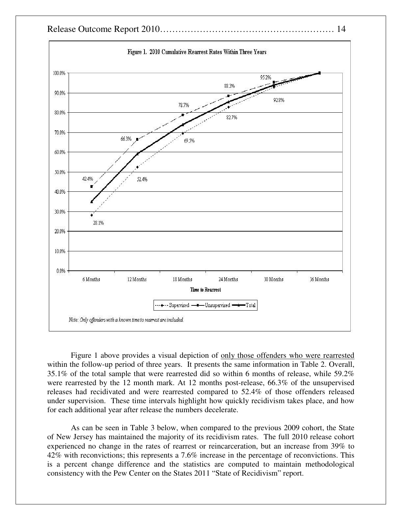

Figure 1 above provides a visual depiction of only those offenders who were rearrested within the follow-up period of three years. It presents the same information in Table 2. Overall, 35.1% of the total sample that were rearrested did so within 6 months of release, while 59.2% were rearrested by the 12 month mark. At 12 months post-release, 66.3% of the unsupervised releases had recidivated and were rearrested compared to 52.4% of those offenders released under supervision. These time intervals highlight how quickly recidivism takes place, and how for each additional year after release the numbers decelerate.

As can be seen in Table 3 below, when compared to the previous 2009 cohort, the State of New Jersey has maintained the majority of its recidivism rates. The full 2010 release cohort experienced no change in the rates of rearrest or reincarceration, but an increase from 39% to 42% with reconvictions; this represents a 7.6% increase in the percentage of reconvictions. This is a percent change difference and the statistics are computed to maintain methodological consistency with the Pew Center on the States 2011 "State of Recidivism" report.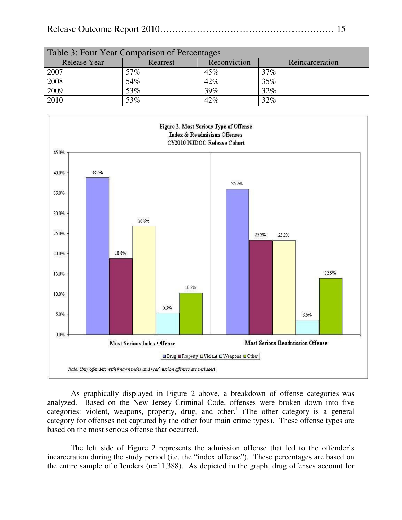|--|--|

| Table 3: Four Year Comparison of Percentages |          |              |                 |
|----------------------------------------------|----------|--------------|-----------------|
| <b>Release Year</b>                          | Rearrest | Reconviction | Reincarceration |
| 2007                                         | 57%      | 45%          | 37%             |
| 2008                                         | 54%      | 42%          | 35%             |
| 2009                                         | 53%      | 39%          | 32%             |
| 2010                                         | 53%      | 42%          | 32%             |



As graphically displayed in Figure 2 above, a breakdown of offense categories was analyzed. Based on the New Jersey Criminal Code, offenses were broken down into five categories: violent, weapons, property, drug, and other.<sup>1</sup> (The other category is a general category for offenses not captured by the other four main crime types). These offense types are based on the most serious offense that occurred.

The left side of Figure 2 represents the admission offense that led to the offender's incarceration during the study period (i.e. the "index offense"). These percentages are based on the entire sample of offenders (n=11,388). As depicted in the graph, drug offenses account for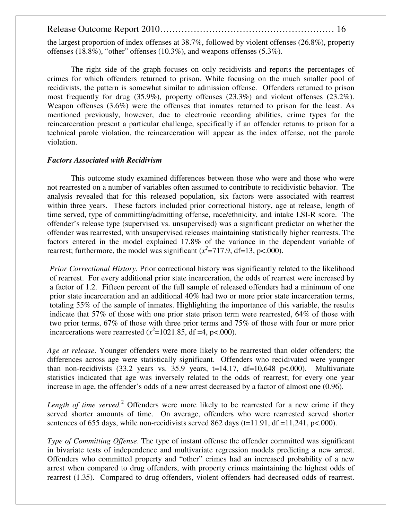the largest proportion of index offenses at 38.7%, followed by violent offenses (26.8%), property offenses (18.8%), "other" offenses (10.3%), and weapons offenses (5.3%).

The right side of the graph focuses on only recidivists and reports the percentages of crimes for which offenders returned to prison. While focusing on the much smaller pool of recidivists, the pattern is somewhat similar to admission offense. Offenders returned to prison most frequently for drug (35.9%), property offenses (23.3%) and violent offenses (23.2%). Weapon offenses (3.6%) were the offenses that inmates returned to prison for the least. As mentioned previously, however, due to electronic recording abilities, crime types for the reincarceration present a particular challenge, specifically if an offender returns to prison for a technical parole violation, the reincarceration will appear as the index offense, not the parole violation.

#### *Factors Associated with Recidivism*

This outcome study examined differences between those who were and those who were not rearrested on a number of variables often assumed to contribute to recidivistic behavior. The analysis revealed that for this released population, six factors were associated with rearrest within three years. These factors included prior correctional history, age at release, length of time served, type of committing/admitting offense, race/ethnicity, and intake LSI-R score. The offender's release type (supervised vs. unsupervised) was a significant predictor on whether the offender was rearrested, with unsupervised releases maintaining statistically higher rearrests. The factors entered in the model explained 17.8% of the variance in the dependent variable of rearrest; furthermore, the model was significant  $(x^2=717.9, df=13, p<.000)$ .

*Prior Correctional History.* Prior correctional history was significantly related to the likelihood of rearrest. For every additional prior state incarceration, the odds of rearrest were increased by a factor of 1.2. Fifteen percent of the full sample of released offenders had a minimum of one prior state incarceration and an additional 40% had two or more prior state incarceration terms, totaling 55% of the sample of inmates. Highlighting the importance of this variable, the results indicate that 57% of those with one prior state prison term were rearrested, 64% of those with two prior terms, 67% of those with three prior terms and 75% of those with four or more prior incarcerations were rearrested  $(x^2=1021.85$ , df =4, p<.000).

*Age at release*. Younger offenders were more likely to be rearrested than older offenders; the differences across age were statistically significant. Offenders who recidivated were younger than non-recidivists  $(33.2 \text{ years} \text{ vs. } 35.9 \text{ years}, t=14.17, df=10,648 \text{ p} < .000)$ . Multivariate statistics indicated that age was inversely related to the odds of rearrest; for every one year increase in age, the offender's odds of a new arrest decreased by a factor of almost one (0.96).

Length of time served.<sup>2</sup> Offenders were more likely to be rearrested for a new crime if they served shorter amounts of time. On average, offenders who were rearrested served shorter sentences of 655 days, while non-recidivists served 862 days ( $t=11.91$ ,  $df = 11.241$ ,  $p<.000$ ).

*Type of Committing Offense*. The type of instant offense the offender committed was significant in bivariate tests of independence and multivariate regression models predicting a new arrest. Offenders who committed property and "other" crimes had an increased probability of a new arrest when compared to drug offenders, with property crimes maintaining the highest odds of rearrest (1.35). Compared to drug offenders, violent offenders had decreased odds of rearrest.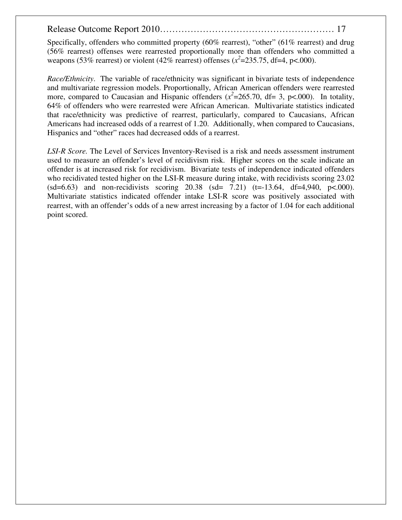Specifically, offenders who committed property (60% rearrest), "other" (61% rearrest) and drug (56% rearrest) offenses were rearrested proportionally more than offenders who committed a weapons (53% rearrest) or violent (42% rearrest) offenses ( $x^2$ =235.75, df=4, p<.000).

*Race/Ethnicity*. The variable of race/ethnicity was significant in bivariate tests of independence and multivariate regression models. Proportionally, African American offenders were rearrested more, compared to Caucasian and Hispanic offenders  $(x^2=265.70, df=3, p<.000)$ . In totality, 64% of offenders who were rearrested were African American. Multivariate statistics indicated that race/ethnicity was predictive of rearrest, particularly, compared to Caucasians, African Americans had increased odds of a rearrest of 1.20. Additionally, when compared to Caucasians, Hispanics and "other" races had decreased odds of a rearrest.

*LSI-R Score.* The Level of Services Inventory-Revised is a risk and needs assessment instrument used to measure an offender's level of recidivism risk. Higher scores on the scale indicate an offender is at increased risk for recidivism. Bivariate tests of independence indicated offenders who recidivated tested higher on the LSI-R measure during intake, with recidivists scoring 23.02  $(sd=6.63)$  and non-recidivists scoring 20.38  $(sd= 7.21)$   $(t=13.64, df=4.940, p<.000)$ . Multivariate statistics indicated offender intake LSI-R score was positively associated with rearrest, with an offender's odds of a new arrest increasing by a factor of 1.04 for each additional point scored.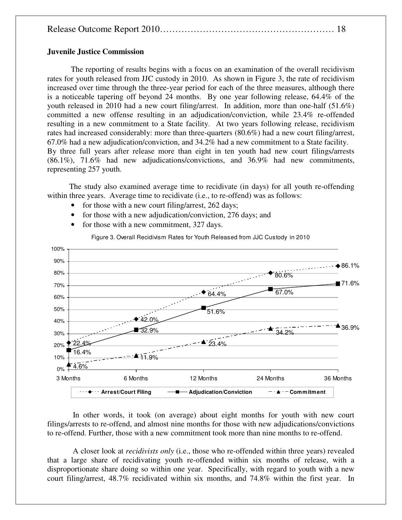|--|--|

#### **Juvenile Justice Commission**

 The reporting of results begins with a focus on an examination of the overall recidivism rates for youth released from JJC custody in 2010. As shown in Figure 3, the rate of recidivism increased over time through the three-year period for each of the three measures, although there is a noticeable tapering off beyond 24 months. By one year following release, 64.4% of the youth released in 2010 had a new court filing/arrest. In addition, more than one-half (51.6%) committed a new offense resulting in an adjudication/conviction, while 23.4% re-offended resulting in a new commitment to a State facility. At two years following release, recidivism rates had increased considerably: more than three-quarters (80.6%) had a new court filing/arrest, 67.0% had a new adjudication/conviction, and 34.2% had a new commitment to a State facility. By three full years after release more than eight in ten youth had new court filings/arrests (86.1%), 71.6% had new adjudications/convictions, and 36.9% had new commitments, representing 257 youth.

 The study also examined average time to recidivate (in days) for all youth re-offending within three years. Average time to recidivate (i.e., to re-offend) was as follows:

- for those with a new court filing/arrest, 262 days;
- for those with a new adjudication/conviction, 276 days; and
- for those with a new commitment, 327 days.



Figure 3. Overall Recidivism Rates for Youth Released from JJC Custody in 2010

 In other words, it took (on average) about eight months for youth with new court filings/arrests to re-offend, and almost nine months for those with new adjudications/convictions to re-offend. Further, those with a new commitment took more than nine months to re-offend.

 A closer look at *recidivists only* (i.e., those who re-offended within three years) revealed that a large share of recidivating youth re-offended within six months of release, with a disproportionate share doing so within one year. Specifically, with regard to youth with a new court filing/arrest, 48.7% recidivated within six months, and 74.8% within the first year. In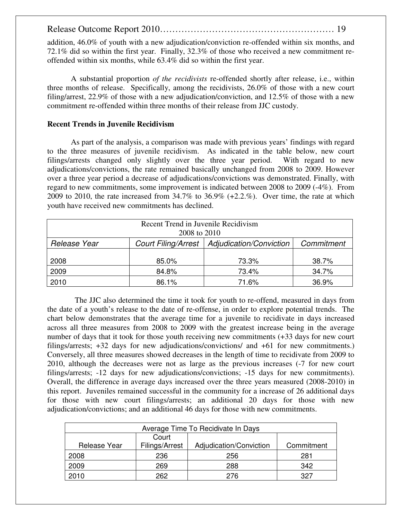addition, 46.0% of youth with a new adjudication/conviction re-offended within six months, and 72.1% did so within the first year. Finally, 32.3% of those who received a new commitment reoffended within six months, while 63.4% did so within the first year.

A substantial proportion *of the recidivists* re-offended shortly after release, i.e., within three months of release. Specifically, among the recidivists, 26.0% of those with a new court filing/arrest, 22.9% of those with a new adjudication/conviction, and 12.5% of those with a new commitment re-offended within three months of their release from JJC custody.

#### **Recent Trends in Juvenile Recidivism**

 As part of the analysis, a comparison was made with previous years' findings with regard to the three measures of juvenile recidivism. As indicated in the table below, new court filings/arrests changed only slightly over the three year period. With regard to new adjudications/convictions, the rate remained basically unchanged from 2008 to 2009. However over a three year period a decrease of adjudications/convictions was demonstrated. Finally, with regard to new commitments, some improvement is indicated between 2008 to 2009 (-4%). From 2009 to 2010, the rate increased from 34.7% to 36.9% (+2.2.%). Over time, the rate at which youth have received new commitments has declined.

| Recent Trend in Juvenile Recidivism<br>2008 to 2010 |       |                                               |            |  |
|-----------------------------------------------------|-------|-----------------------------------------------|------------|--|
|                                                     |       |                                               |            |  |
| Release Year                                        |       | Court Filing/Arrest   Adjudication/Conviction | Commitment |  |
|                                                     |       |                                               |            |  |
| 2008                                                | 85.0% | 73.3%                                         | 38.7%      |  |
| 2009                                                | 84.8% | 73.4%                                         | 34.7%      |  |
| 2010                                                | 86.1% | 71.6%                                         | 36.9%      |  |

 The JJC also determined the time it took for youth to re-offend, measured in days from the date of a youth's release to the date of re-offense, in order to explore potential trends. The chart below demonstrates that the average time for a juvenile to recidivate in days increased across all three measures from 2008 to 2009 with the greatest increase being in the average number of days that it took for those youth receiving new commitments (+33 days for new court filings/arrests; +32 days for new adjudications/convictions/ and +61 for new commitments.) Conversely, all three measures showed decreases in the length of time to recidivate from 2009 to 2010, although the decreases were not as large as the previous increases (-7 for new court filings/arrests; -12 days for new adjudications/convictions; -15 days for new commitments). Overall, the difference in average days increased over the three years measured (2008-2010) in this report. Juveniles remained successful in the community for a increase of 26 additional days for those with new court filings/arrests; an additional 20 days for those with new adjudication/convictions; and an additional 46 days for those with new commitments.

| Average Time To Recidivate In Days |                |                         |            |
|------------------------------------|----------------|-------------------------|------------|
|                                    | Court          |                         |            |
| Release Year                       | Filings/Arrest | Adjudication/Conviction | Commitment |
| 2008                               | 236            | 256                     | 281        |
| 2009                               | 269            | 288                     | 342        |
| 2010                               | 262            | 276                     | 327        |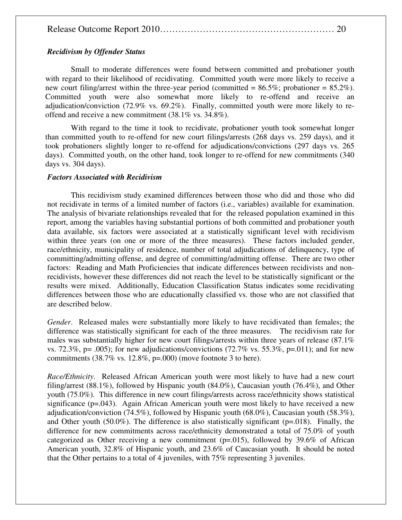|--|--|

#### *Recidivism by Offender Status*

Small to moderate differences were found between committed and probationer youth with regard to their likelihood of recidivating. Committed youth were more likely to receive a new court filing/arrest within the three-year period (committed =  $86.5\%$ ; probationer =  $85.2\%$ ). Committed youth were also somewhat more likely to re-offend and receive an adjudication/conviction (72.9% vs. 69.2%). Finally, committed youth were more likely to reoffend and receive a new commitment (38.1% vs. 34.8%).

With regard to the time it took to recidivate, probationer youth took somewhat longer than committed youth to re-offend for new court filings/arrests (268 days vs. 259 days), and it took probationers slightly longer to re-offend for adjudications/convictions (297 days vs. 265 days). Committed youth, on the other hand, took longer to re-offend for new commitments (340 days vs. 304 days).

#### *Factors Associated with Recidivism*

This recidivism study examined differences between those who did and those who did not recidivate in terms of a limited number of factors (i.e., variables) available for examination. The analysis of bivariate relationships revealed that for the released population examined in this report, among the variables having substantial portions of both committed and probationer youth data available, six factors were associated at a statistically significant level with recidivism within three years (on one or more of the three measures). These factors included gender, race/ethnicity, municipality of residence, number of total adjudications of delinquency, type of committing/admitting offense, and degree of committing/admitting offense. There are two other factors: Reading and Math Proficiencies that indicate differences between recidivists and nonrecidivists, however these differences did not reach the level to be statistically significant or the results were mixed. Additionally, Education Classification Status indicates some recidivating differences between those who are educationally classified vs. those who are not classified that are described below.

*Gender*. Released males were substantially more likely to have recidivated than females; the difference was statistically significant for each of the three measures. The recidivism rate for males was substantially higher for new court filings/arrests within three years of release (87.1% vs. 72.3%,  $p = .005$ ; for new adjudications/convictions (72.7% vs. 55.3%,  $p = .011$ ); and for new commitments  $(38.7\% \text{ vs. } 12.8\%, \text{ p=}.000)$  (move footnote 3 to here).

*Race/Ethnicity*. Released African American youth were most likely to have had a new court filing/arrest (88.1%), followed by Hispanic youth (84.0%), Caucasian youth (76.4%), and Other youth (75.0%). This difference in new court filings/arrests across race/ethnicity shows statistical significance (p=.043). Again African American youth were most likely to have received a new adjudication/conviction (74.5%), followed by Hispanic youth (68.0%), Caucasian youth (58.3%), and Other youth  $(50.0\%)$ . The difference is also statistically significant ( $p=0.018$ ). Finally, the difference for new commitments across race/ethnicity demonstrated a total of 75.0% of youth categorized as Other receiving a new commitment ( $p=0.015$ ), followed by 39.6% of African American youth, 32.8% of Hispanic youth, and 23.6% of Caucasian youth. It should be noted that the Other pertains to a total of 4 juveniles, with 75% representing 3 juveniles.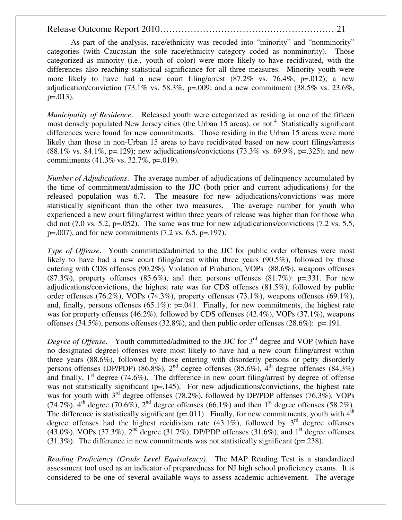As part of the analysis, race/ethnicity was recoded into "minority" and "nonminority" categories (with Caucasian the sole race/ethnicity category coded as nonminority). Those categorized as minority (i.e., youth of color) were more likely to have recidivated, with the differences also reaching statistical significance for all three measures. Minority youth were more likely to have had a new court filing/arrest  $(87.2\% \text{ vs. } 76.4\%, \text{ p} = .012)$ ; a new adjudication/conviction (73.1% vs. 58.3%, p=.009; and a new commitment (38.5% vs. 23.6%,  $p=.013$ ).

*Municipality of Residence*. Released youth were categorized as residing in one of the fifteen most densely populated New Jersey cities (the Urban 15 areas), or not.<sup>4</sup> Statistically significant differences were found for new commitments. Those residing in the Urban 15 areas were more likely than those in non-Urban 15 areas to have recidivated based on new court filings/arrests  $(88.1\% \text{ vs. } 84.1\%, \text{ p} = .129)$ ; new adjudications/convictions  $(73.3\% \text{ vs. } 69.9\%, \text{ p} = .325)$ ; and new commitments (41.3% vs. 32.7%, p=.019).

*Number of Adjudications*. The average number of adjudications of delinquency accumulated by the time of commitment/admission to the JJC (both prior and current adjudications) for the released population was 6.7. The measure for new adjudications/convictions was more statistically significant than the other two measures. The average number for youth who experienced a new court filing/arrest within three years of release was higher than for those who did not  $(7.0 \text{ vs. } 5.2, \text{ p} = .052)$ . The same was true for new adjudications/convictions  $(7.2 \text{ vs. } 5.5, \text{ s}$  $p=.007$ , and for new commitments (7.2 vs. 6.5,  $p=.197$ ).

*Type of Offense*. Youth committed/admitted to the JJC for public order offenses were most likely to have had a new court filing/arrest within three years (90.5%), followed by those entering with CDS offenses (90.2%), Violation of Probation, VOPs (88.6%), weapons offenses  $(87.3\%)$ , property offenses  $(85.6\%)$ , and then persons offenses  $(81.7\%)$ : p=.331. For new adjudications/convictions, the highest rate was for CDS offenses (81.5%), followed by public order offenses (76.2%), VOPs (74.3%), property offenses (73.1%), weapons offenses (69.1%), and, finally, persons offenses  $(65.1\%)$ : p=.041. Finally, for new commitments, the highest rate was for property offenses (46.2%), followed by CDS offenses (42.4%), VOPs (37.1%), weapons offenses (34.5%), persons offenses (32.8%), and then public order offenses (28.6%): p=.191.

*Degree of Offense.* Youth committed/admitted to the JJC for 3<sup>rd</sup> degree and VOP (which have no designated degree) offenses were most likely to have had a new court filing/arrest within three years (88.6%), followed by those entering with disorderly persons or petty disorderly persons offenses (DP/PDP) (86.8%),  $2^{nd}$  degree offenses (85.6%),  $4^{th}$  degree offenses (84.3%) and finally,  $1<sup>st</sup>$  degree (74.6%). The difference in new court filing/arrest by degree of offense was not statistically significant (p=.145). For new adjudications/convictions, the highest rate was for youth with  $3^{rd}$  degree offenses (78.2%), followed by DP/PDP offenses (76.3%), VOPs  $(74.7\%)$ ,  $4^{\text{th}}$  degree  $(70.6\%)$ ,  $2^{\text{nd}}$  degree offenses  $(66.1\%)$  and then  $1^{\text{st}}$  degree offenses  $(58.2\%)$ . The difference is statistically significant (p=.011). Finally, for new commitments, youth with  $4<sup>th</sup>$ degree offenses had the highest recidivism rate (43.1%), followed by  $3<sup>rd</sup>$  degree offenses (43.0%), VOPs (37.3%),  $2<sup>nd</sup>$  degree (31.7%), DP/PDP offenses (31.6%), and 1<sup>st</sup> degree offenses  $(31.3\%)$ . The difference in new commitments was not statistically significant (p=.238).

*Reading Proficiency (Grade Level Equivalency).* The MAP Reading Test is a standardized assessment tool used as an indicator of preparedness for NJ high school proficiency exams. It is considered to be one of several available ways to assess academic achievement. The average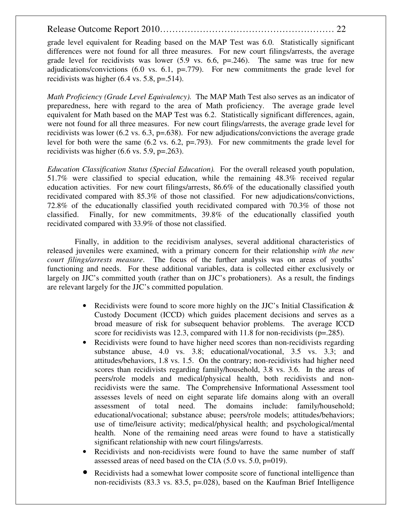grade level equivalent for Reading based on the MAP Test was 6.0. Statistically significant differences were not found for all three measures. For new court filings/arrests, the average grade level for recidivists was lower  $(5.9 \text{ vs. } 6.6, \text{ p} = 0.246)$ . The same was true for new adjudications/convictions  $(6.0 \text{ vs. } 6.1, \text{ p} = .779)$ . For new commitments the grade level for recidivists was higher  $(6.4 \text{ vs. } 5.8, \text{ p} = .514)$ .

*Math Proficiency (Grade Level Equivalency).* The MAP Math Test also serves as an indicator of preparedness, here with regard to the area of Math proficiency. The average grade level equivalent for Math based on the MAP Test was 6.2. Statistically significant differences, again, were not found for all three measures. For new court filings/arrests, the average grade level for recidivists was lower (6.2 vs. 6.3, p=.638). For new adjudications/convictions the average grade level for both were the same (6.2 vs. 6.2, p=.793). For new commitments the grade level for recidivists was higher  $(6.6 \text{ vs. } 5.9, \text{ p} = .263)$ .

*Education Classification Status (Special Education).* For the overall released youth population, 51.7% were classified to special education, while the remaining 48.3% received regular education activities. For new court filings/arrests, 86.6% of the educationally classified youth recidivated compared with 85.3% of those not classified. For new adjudications/convictions, 72.8% of the educationally classified youth recidivated compared with 70.3% of those not classified. Finally, for new commitments, 39.8% of the educationally classified youth recidivated compared with 33.9% of those not classified.

 Finally, in addition to the recidivism analyses, several additional characteristics of released juveniles were examined, with a primary concern for their relationship *with the new court filings/arrests measure*. The focus of the further analysis was on areas of youths' functioning and needs. For these additional variables, data is collected either exclusively or largely on JJC's committed youth (rather than on JJC's probationers). As a result, the findings are relevant largely for the JJC's committed population.

- Recidivists were found to score more highly on the JJC's Initial Classification  $\&$ Custody Document (ICCD) which guides placement decisions and serves as a broad measure of risk for subsequent behavior problems. The average ICCD score for recidivists was 12.3, compared with 11.8 for non-recidivists ( $p=.285$ ).
- Recidivists were found to have higher need scores than non-recidivists regarding substance abuse, 4.0 vs. 3.8; educational/vocational, 3.5 vs. 3.3; and attitudes/behaviors, 1.8 vs. 1.5. On the contrary; non-recidivists had higher need scores than recidivists regarding family/household, 3.8 vs. 3.6. In the areas of peers/role models and medical/physical health, both recidivists and nonrecidivists were the same. The Comprehensive Informational Assessment tool assesses levels of need on eight separate life domains along with an overall assessment of total need. The domains include: family/household; educational/vocational; substance abuse; peers/role models; attitudes/behaviors; use of time/leisure activity; medical/physical health; and psychological/mental health. None of the remaining need areas were found to have a statistically significant relationship with new court filings/arrests.
- Recidivists and non-recidivists were found to have the same number of staff assessed areas of need based on the CIA (5.0 vs. 5.0, p=019).
- Recidivists had a somewhat lower composite score of functional intelligence than non-recidivists (83.3 vs. 83.5,  $p=.028$ ), based on the Kaufman Brief Intelligence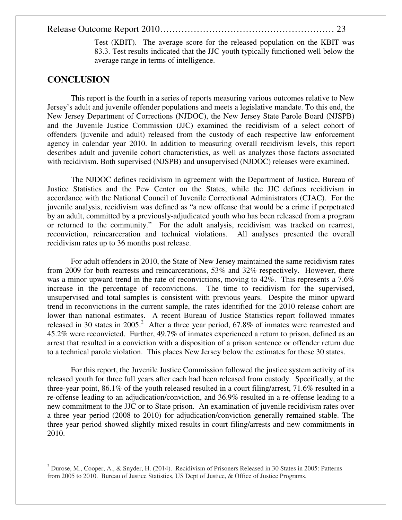Test (KBIT). The average score for the released population on the KBIT was 83.3. Test results indicated that the JJC youth typically functioned well below the average range in terms of intelligence.

## **CONCLUSION**

 $\overline{a}$ 

This report is the fourth in a series of reports measuring various outcomes relative to New Jersey's adult and juvenile offender populations and meets a legislative mandate. To this end, the New Jersey Department of Corrections (NJDOC), the New Jersey State Parole Board (NJSPB) and the Juvenile Justice Commission (JJC) examined the recidivism of a select cohort of offenders (juvenile and adult) released from the custody of each respective law enforcement agency in calendar year 2010. In addition to measuring overall recidivism levels, this report describes adult and juvenile cohort characteristics, as well as analyzes those factors associated with recidivism. Both supervised (NJSPB) and unsupervised (NJDOC) releases were examined.

The NJDOC defines recidivism in agreement with the Department of Justice, Bureau of Justice Statistics and the Pew Center on the States, while the JJC defines recidivism in accordance with the National Council of Juvenile Correctional Administrators (CJAC). For the juvenile analysis, recidivism was defined as "a new offense that would be a crime if perpetrated by an adult, committed by a previously-adjudicated youth who has been released from a program or returned to the community." For the adult analysis, recidivism was tracked on rearrest, reconviction, reincarceration and technical violations. All analyses presented the overall recidivism rates up to 36 months post release.

For adult offenders in 2010, the State of New Jersey maintained the same recidivism rates from 2009 for both rearrests and reincarcerations, 53% and 32% respectively. However, there was a minor upward trend in the rate of reconvictions, moving to 42%. This represents a 7.6% increase in the percentage of reconvictions. The time to recidivism for the supervised, unsupervised and total samples is consistent with previous years. Despite the minor upward trend in reconvictions in the current sample, the rates identified for the 2010 release cohort are lower than national estimates. A recent Bureau of Justice Statistics report followed inmates released in 30 states in 2005.<sup>2</sup> After a three year period, 67.8% of inmates were rearrested and 45.2% were reconvicted. Further, 49.7% of inmates experienced a return to prison, defined as an arrest that resulted in a conviction with a disposition of a prison sentence or offender return due to a technical parole violation. This places New Jersey below the estimates for these 30 states.

 For this report, the Juvenile Justice Commission followed the justice system activity of its released youth for three full years after each had been released from custody. Specifically, at the three-year point, 86.1% of the youth released resulted in a court filing/arrest, 71.6% resulted in a re-offense leading to an adjudication/conviction, and 36.9% resulted in a re-offense leading to a new commitment to the JJC or to State prison. An examination of juvenile recidivism rates over a three year period (2008 to 2010) for adjudication/conviction generally remained stable. The three year period showed slightly mixed results in court filing/arrests and new commitments in 2010.

<sup>2</sup> Durose, M., Cooper, A., & Snyder, H. (2014). Recidivism of Prisoners Released in 30 States in 2005: Patterns from 2005 to 2010. Bureau of Justice Statistics, US Dept of Justice, & Office of Justice Programs.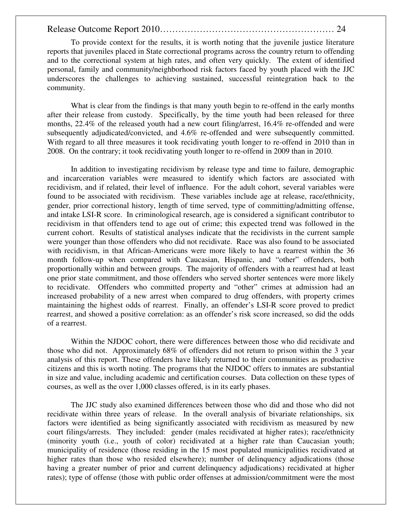To provide context for the results, it is worth noting that the juvenile justice literature reports that juveniles placed in State correctional programs across the country return to offending and to the correctional system at high rates, and often very quickly. The extent of identified personal, family and community/neighborhood risk factors faced by youth placed with the JJC underscores the challenges to achieving sustained, successful reintegration back to the community.

 What is clear from the findings is that many youth begin to re-offend in the early months after their release from custody. Specifically, by the time youth had been released for three months, 22.4% of the released youth had a new court filing/arrest, 16.4% re-offended and were subsequently adjudicated/convicted, and 4.6% re-offended and were subsequently committed. With regard to all three measures it took recidivating youth longer to re-offend in 2010 than in 2008. On the contrary; it took recidivating youth longer to re-offend in 2009 than in 2010.

In addition to investigating recidivism by release type and time to failure, demographic and incarceration variables were measured to identify which factors are associated with recidivism, and if related, their level of influence. For the adult cohort, several variables were found to be associated with recidivism. These variables include age at release, race/ethnicity, gender, prior correctional history, length of time served, type of committing/admitting offense, and intake LSI-R score. In criminological research, age is considered a significant contributor to recidivism in that offenders tend to age out of crime; this expected trend was followed in the current cohort. Results of statistical analyses indicate that the recidivists in the current sample were younger than those offenders who did not recidivate. Race was also found to be associated with recidivism, in that African-Americans were more likely to have a rearrest within the 36 month follow-up when compared with Caucasian, Hispanic, and "other" offenders, both proportionally within and between groups. The majority of offenders with a rearrest had at least one prior state commitment, and those offenders who served shorter sentences were more likely to recidivate. Offenders who committed property and "other" crimes at admission had an increased probability of a new arrest when compared to drug offenders, with property crimes maintaining the highest odds of rearrest. Finally, an offender's LSI-R score proved to predict rearrest, and showed a positive correlation: as an offender's risk score increased, so did the odds of a rearrest.

Within the NJDOC cohort, there were differences between those who did recidivate and those who did not. Approximately 68% of offenders did not return to prison within the 3 year analysis of this report. These offenders have likely returned to their communities as productive citizens and this is worth noting. The programs that the NJDOC offers to inmates are substantial in size and value, including academic and certification courses. Data collection on these types of courses, as well as the over 1,000 classes offered, is in its early phases.

The JJC study also examined differences between those who did and those who did not recidivate within three years of release. In the overall analysis of bivariate relationships, six factors were identified as being significantly associated with recidivism as measured by new court filings/arrests. They included: gender (males recidivated at higher rates); race/ethnicity (minority youth (i.e., youth of color) recidivated at a higher rate than Caucasian youth; municipality of residence (those residing in the 15 most populated municipalities recidivated at higher rates than those who resided elsewhere); number of delinquency adjudications (those having a greater number of prior and current delinquency adjudications) recidivated at higher rates); type of offense (those with public order offenses at admission/commitment were the most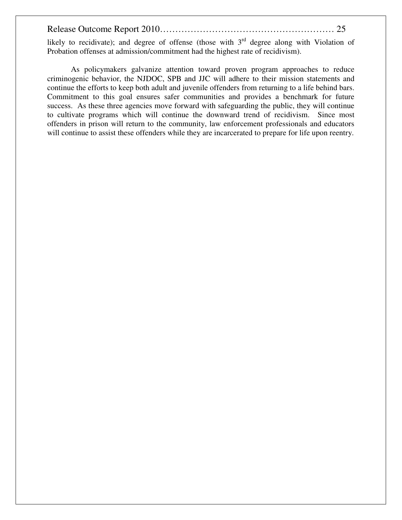likely to recidivate); and degree of offense (those with  $3<sup>rd</sup>$  degree along with Violation of Probation offenses at admission/commitment had the highest rate of recidivism).

 As policymakers galvanize attention toward proven program approaches to reduce criminogenic behavior, the NJDOC, SPB and JJC will adhere to their mission statements and continue the efforts to keep both adult and juvenile offenders from returning to a life behind bars. Commitment to this goal ensures safer communities and provides a benchmark for future success. As these three agencies move forward with safeguarding the public, they will continue to cultivate programs which will continue the downward trend of recidivism. Since most offenders in prison will return to the community, law enforcement professionals and educators will continue to assist these offenders while they are incarcerated to prepare for life upon reentry.